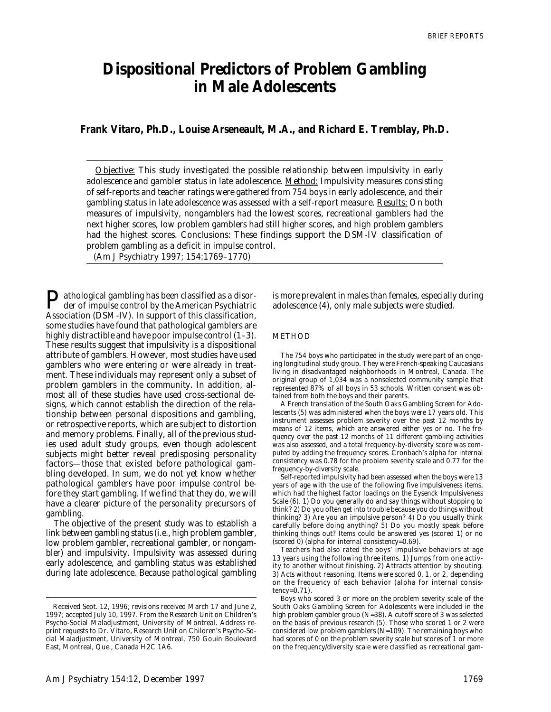# **Dispositional Predictors of Problem Gambling in Male Adolescents**

**Frank Vitaro, Ph.D., Louise Arseneault, M.A., and Richard E. Tremblay, Ph.D.**

*Objective: This study investigated the possible relationship between impulsivity in early adolescence and gambler status in late adolescence. Method: Impulsivity measures consisting of self-reports and teacher ratings were gathered from 754 boys in early adolescence, and their gambling status in late adolescence was assessed with a self-report measure. Results: On both measures of impulsivity, nongamblers had the lowest scores, recreational gamblers had the next higher scores, low problem gamblers had still higher scores, and high problem gamblers had the highest scores. Conclusions: These findings support the DSM-IV classification of problem gambling as a deficit in impulse control.*

(Am J Psychiatry 1997; 154:1769–1770)

**P** athological gambling has been classified as a disorder of impulse control by the American Psychiatric Association (DSM-IV). In support of this classification, some studies have found that pathological gamblers are highly distractible and have poor impulse control  $(1-3)$ . These results suggest that impulsivity is a dispositional attribute of gamblers. However, most studies have used gamblers who were entering or were already in treatment. These individuals may represent only a subset of problem gamblers in the community. In addition, almost all of these studies have used cross-sectional designs, which cannot establish the direction of the relationship between personal dispositions and gambling, or retrospective reports, which are subject to distortion and memory problems. Finally, all of the previous studies used adult study groups, even though adolescent subjects might better reveal predisposing personality factors—those that existed before pathological gambling developed. In sum, we do not yet know whether pathological gamblers have poor impulse control before they start gambling. If we find that they do, we will have a clearer picture of the personality precursors of gambling.

The objective of the present study was to establish a link between gambling status (i.e., high problem gambler, low problem gambler, recreational gambler, or nongambler) and impulsivity. Impulsivity was assessed during early adolescence, and gambling status was established during late adolescence. Because pathological gambling is more prevalent in males than females, especially during adolescence (4), only male subjects were studied.

## **METHOD**

The 754 boys who participated in the study were part of an ongoing longitudinal study group. They were French-speaking Caucasians living in disadvantaged neighborhoods in Montreal, Canada. The original group of 1,034 was a nonselected community sample that represented 87% of all boys in 53 schools. Written consent was obtained from both the boys and their parents.

A French translation of the South Oaks Gambling Screen for Adolescents (5) was administered when the boys were 17 years old. This instrument assesses problem severity over the past 12 months by means of 12 items, which are answered either yes or no. The frequency over the past 12 months of 11 different gambling activities was also assessed, and a total frequency-by-diversity score was computed by adding the frequency scores. Cronbach's alpha for internal consistency was 0.78 for the problem severity scale and 0.77 for the frequency-by-diversity scale.

Self-reported impulsivity had been assessed when the boys were 13 years of age with the use of the following five impulsiveness items, which had the highest factor loadings on the Eysenck Impulsiveness Scale (6). 1) Do you generally do and say things without stopping to think? 2) Do you often get into trouble because you do things without thinking? 3) Are you an impulsive person? 4) Do you usually think carefully before doing anything? 5) Do you mostly speak before thinking things out? Items could be answered yes (scored 1) or no (scored 0) (alpha for internal consistency=0.69).

Teachers had also rated the boys' impulsive behaviors at age 13 years using the following three items. 1) Jumps from one activity to another without finishing. 2) Attracts attention by shouting. 3) Acts without reasoning. Items were scored 0, 1, or 2, depending on the frequency of each behavior (alpha for internal consis $tency=0.71$ ).

Boys who scored 3 or more on the problem severity scale of the South Oaks Gambling Screen for Adolescents were included in the high problem gambler group (N=38). A cutoff score of 3 was selected on the basis of previous research (5). Those who scored 1 or 2 were considered low problem gamblers (N=109). The remaining boys who had scores of 0 on the problem severity scale but scores of 1 or more on the frequency/diversity scale were classified as recreational gam-

Received Sept. 12, 1996; revisions received March 17 and June 2, 1997; accepted July 10, 1997. From the Research Unit on Children's Psycho-Social Maladjustment, University of Montreal. Address reprint requests to Dr. Vitaro, Research Unit on Children's Psycho-Social Maladjustment, University of Montreal, 750 Gouin Boulevard East, Montreal, Que., Canada H2C 1A6.